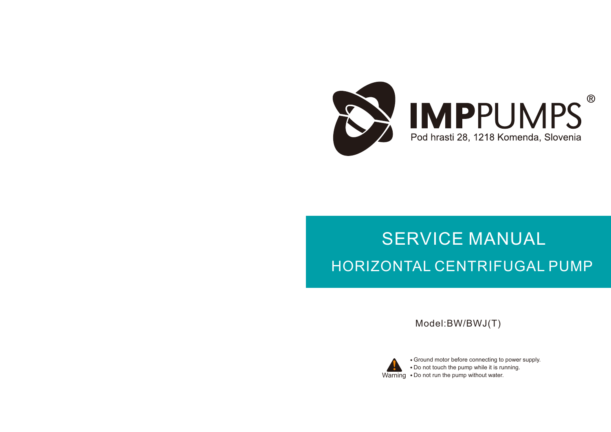

# SERVICE MANUAL HORIZONTAL CENTRIFUGAL PUMP

Model:BW/BWJ(T)



Warning Do not run the pump without water. Ground motor before connecting to power supply. Do not touch the pump while it is running.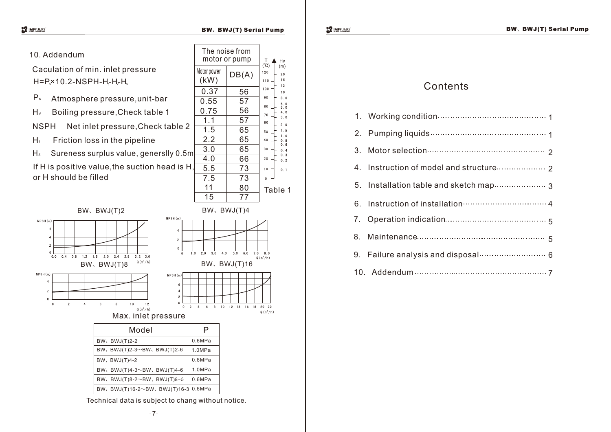#### BW、BWJ(T) Serial Pump BWS http://www.site.com/site.com/site.com/site.com/site.com/

 $T$  Hv<br>(C)  $T$  Hv 120

110

 $20$  $15$ 

 $12$ 

 $10$ 

 $8.0$  $6.0$ 

 $5.0$  $4.0$ 

 $3.0$ 

 $2.0$  $1.5$ 

 $1<sub>0</sub>$ 

 $0.8$  $0<sub>6</sub>$ 

 $0<sub>4</sub>$  $0.3$ 

 $DB(A)$ 

The noise from motor or pump

Motor power

# 10. Addendum

2 4

NPSH (m

 $\mathbf{0}$ 

ີດີດ

 $0.4$  0.8 1.2

 $\overline{2}$ 

 $1.6$ 

 $6\overline{6}$ 

 $\overline{4}$ 

NPSH (m

Caculation of min. inlet pressure  $H = P_b \times 10.2 - NSPH - H - H_c$ 

- Atmosphere pressure,unit-bar  $P_{b}$
- H<sub>v</sub> Boiling pressure, Check table 1

NSPH Net inlet pressure,Check table 2

 $H_f$  Friction loss in the pipeline

 $H_s$  Sureness surplus value, generslly 0.5m If H is positive value, the suction head is H. or H should be filled

BW、BWJ(T)4-2

BW、BWJ(T)2-2

 $\overline{8}$ 

 $10$ 

 $2.0$   $2.4$   $2.8$ 

 $3.2 \quad 3.6$ 

 $12$ 

 $Q(m^3/h)$ 



Technical data is subject to chang without notice.

| 6. Instruction of installation manufacture 4 |
|----------------------------------------------|
|                                              |
|                                              |
|                                              |
| 9. Failure analysis and disposal 6           |

**MPPUMPS** 

BW、BWJ(T)16-2~BW、BWJ(T)16-3 0.6MPa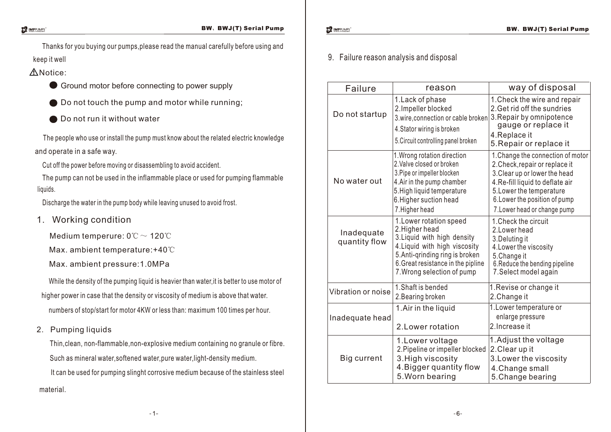Thanks for you buying our pumps,please read the manual carefully before using and keep it well

- Notice:
	- Ground motor before connecting to power supply
	- **●** Do not touch the pump and motor while running;
	- **■** Do not run it without water

The people who use or install the pump must know about the related electric knowledge and operate in a safe way.

Cut off the power before moving or disassembling to avoid accident.

The pump can not be used in the inflammable place or used for pumping flammable liquids.

Discharge the water in the pump body while leaving unused to avoid frost.

1. Working condition

Medium temperure: 0℃~ 120℃

Max. ambient temperature:+40℃

Max. ambient pressure:1.0MPa

While the density of the pumping liquid is heavier than water,it is better to use motor of higher power in case that the density or viscosity of medium is above that water. numbers of stop/start for motor 4KW or less than: maximum 100 times per hour.

2. Pumping liquids

Thin,clean, non-flammable,non-explosive medium containing no granule or fibre. Such as mineral water, softened water, pure water, light-density medium.

It can be used for pumping slinght corrosive medium because of the stainless steel material.

# 9. Failure reason analysis and disposal

| Failure                     | reason                                                                                                                                                                                                           | way of disposal                                                                                                                                                                                                                       |  |  |  |  |
|-----------------------------|------------------------------------------------------------------------------------------------------------------------------------------------------------------------------------------------------------------|---------------------------------------------------------------------------------------------------------------------------------------------------------------------------------------------------------------------------------------|--|--|--|--|
| Do not startup              | 1. Lack of phase<br>2. Impeller blocked<br>3.wire, connection or cable broken<br>4. Stator wiring is broken<br>5. Circuit controlling panel broken                                                               | 1. Check the wire and repair<br>2. Get rid off the sundries<br>3. Repair by omnipotence<br>gauge or replace it<br>4. Replace it<br>5. Repair or replace it                                                                            |  |  |  |  |
| No water out                | 1. Wrong rotation direction<br>2. Valve closed or broken<br>3. Pipe or impeller blocken<br>4. Air in the pump chamber<br>5. High liquid temperature<br>6. Higher suction head<br>7. Higher head                  | 1. Change the connection of motor<br>2. Check, repair or replace it<br>3. Clear up or lower the head<br>4. Re-fill liquid to deflate air<br>5. Lower the temperature<br>6. Lower the position of pump<br>7. Lower head or change pump |  |  |  |  |
| Inadequate<br>quantity flow | 1. Lower rotation speed<br>2. Higher head<br>3. Liquid with high density<br>4. Liquid with high viscosity<br>5. Anti-qrinding ring is broken<br>6. Great resistance in the pipline<br>7. Wrong selection of pump | 1. Check the circuit<br>2. Lower head<br>3. Deluting it<br>4. Lower the viscosity<br>5.Change it<br>6. Reduce the bending pipeline<br>7. Select model again                                                                           |  |  |  |  |
| Vibration or noise          | 1. Shaft is bended<br>2. Bearing broken                                                                                                                                                                          | 1. Revise or change it<br>2. Change it                                                                                                                                                                                                |  |  |  |  |
| Inadequate head             | 1. Air in the liquid<br>2. Lower rotation                                                                                                                                                                        | 1. Lower temperature or<br>enlarge pressure<br>2. Increase it                                                                                                                                                                         |  |  |  |  |
| Big current                 | 1. Lower voltage<br>2. Pipeline or impeller blocked<br>3. High viscosity<br>4. Bigger quantity flow<br>5. Worn bearing                                                                                           | 1. Adjust the voltage<br>2. Clear up it<br>3. Lower the viscosity<br>4. Change small<br>5. Change bearing                                                                                                                             |  |  |  |  |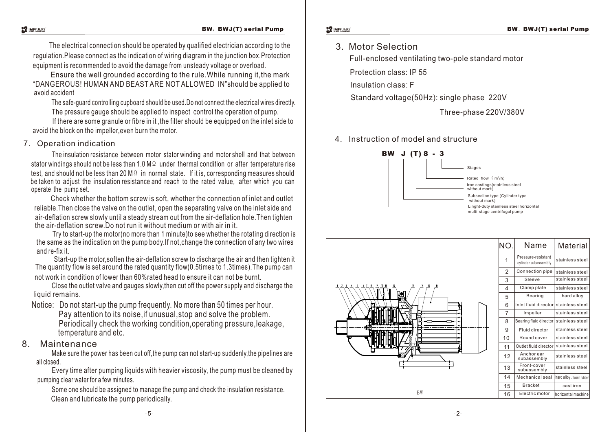#### BW、BWJ(T) serial Pump

The electrical connection should be operated by qualified electrician according to the regulation.Please connect as the indication of wiring diagram in the junction box.Protection equipment is recommended to avoid the damage from unsteady voltage or overload.

Ensure the well grounded according to the rule.While running it,the mark "DANGEROUS! HUMAN AND BEAST ARE NOT ALLOWED IN"should be applied to avoid accident

The safe-guard controlling cupboard should be used.Do not connect the electrical wires directly. The pressure gauge should be applied to inspect control the operation of pump.

If there are some granule or fibre in it ,the filter should be equipped on the inlet side to avoid the block on the impeller,even burn the motor.

# 7. Operation indication

 The insulation resistance between motor stator winding and motor shell and that between stator windings should not be less than 1.0 M $\Omega$  under thermal condition or after temperature rise test, and should not be less than 20 M $\Omega$  in normal state. If it is, corresponding measures should be taken to adjust the insulation resistance and reach to the rated value, after which you can operate the pump set.

Check whether the bottom screw is soft, whether the connection of inlet and outlet reliable.Then close the valve on the outlet, open the separating valve on the inlet side and air-deflation screw slowly until a steady stream out from the air-deflation hole.Then tighten the air-deflation screw.Do not run it without medium or with air in it.

Try to start-up the motor(no more than 1 minute)to see whether the rotating direction is the same as the indication on the pump body.If not,change the connection of any two wires and re-fix it.

not work in condition of lower than 60%rated head to ensure it can not be burnt. Start-up the motor,soften the air-deflation screw to discharge the air and then tighten it The quantity flow is set around the rated quantity flow(0.5times to 1.3times).The pump can

Close the outlet valve and gauges slowly,then cut off the power supply and discharge the liquid remains.

Notice: Do not start-up the pump frequently. No more than 50 times per hour.

Pay attention to its noise,if unusual,stop and solve the problem. Periodically check the working condition,operating pressure,leakage, temperature and etc.

## 8. Maintenance

Make sure the power has been cut off,the pump can not start-up suddenly,the pipelines are all closed.

Every time after pumping liquids with heavier viscosity, the pump must be cleaned by pumping clear water for a few minutes.

Some one should be assigned to manage the pump and check the insulation resistance. Clean and lubricate the pump periodically.

3. Motor Selection

Full-enclosed ventilating two-pole standard motor

Protection class: IP 55

Insulation class: F

Standard voltage(50Hz): single phase 220V

Three-phase 220V/380V

4. Instruction of model and structure